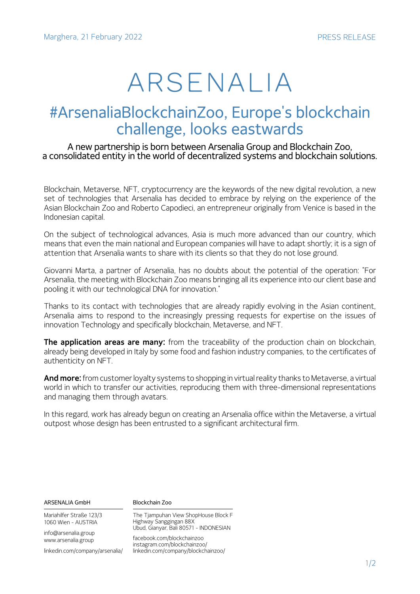# ARSENALIA

## #ArsenaliaBlockchainZoo, Europe's blockchain challenge, looks eastwards

### A new partnership is born between Arsenalia Group and Blockchain Zoo, a consolidated entity in the world of decentralized systems and blockchain solutions.

Blockchain, Metaverse, NFT, cryptocurrency are the keywords of the new digital revolution, a new set of technologies that Arsenalia has decided to embrace by relying on the experience of the Asian Blockchain Zoo and Roberto Capodieci, an entrepreneur originally from Venice is based in the Indonesian capital.

On the subject of technological advances, Asia is much more advanced than our country, which means that even the main national and European companies will have to adapt shortly; it is a sign of attention that Arsenalia wants to share with its clients so that they do not lose ground.

Giovanni Marta, a partner of Arsenalia, has no doubts about the potential of the operation: "For Arsenalia, the meeting with Blockchain Zoo means bringing all its experience into our client base and pooling it with our technological DNA for innovation."

Thanks to its contact with technologies that are already rapidly evolving in the Asian continent, Arsenalia aims to respond to the increasingly pressing requests for expertise on the issues of innovation Technology and specifically blockchain, Metaverse, and NFT.

**The application areas are many:** from the traceability of the production chain on blockchain, already being developed in Italy by some food and fashion industry companies, to the certificates of authenticity on NFT.

**And more:** from customer loyalty systems to shopping in virtual reality thanks to Metaverse, a virtual world in which to transfer our activities, reproducing them with three-dimensional representations and managing them through avatars.

In this regard, work has already begun on creating an Arsenalia office within the Metaverse, a virtual outpost whose design has been entrusted to a significant architectural firm.

| ARSENALIA GmbH                                  | Blockchain Zoo                                                                                           |
|-------------------------------------------------|----------------------------------------------------------------------------------------------------------|
| Mariahilfer Straße 123/3<br>1060 Wien - AUSTRIA | The Tjampuhan View ShopHouse Block F<br>Highway Sanggingan 88X<br>Ubud, Gianyar, Bali 80571 - INDONESIAN |
| info@arsenalia.group<br>www.arsenalia.group     | facebook.com/blockchainzoo                                                                               |
| linkedin.com/company/arsenalia/                 | instagram.com/blockchainzoo/<br>linkedin.com/company/blockchainzoo/                                      |